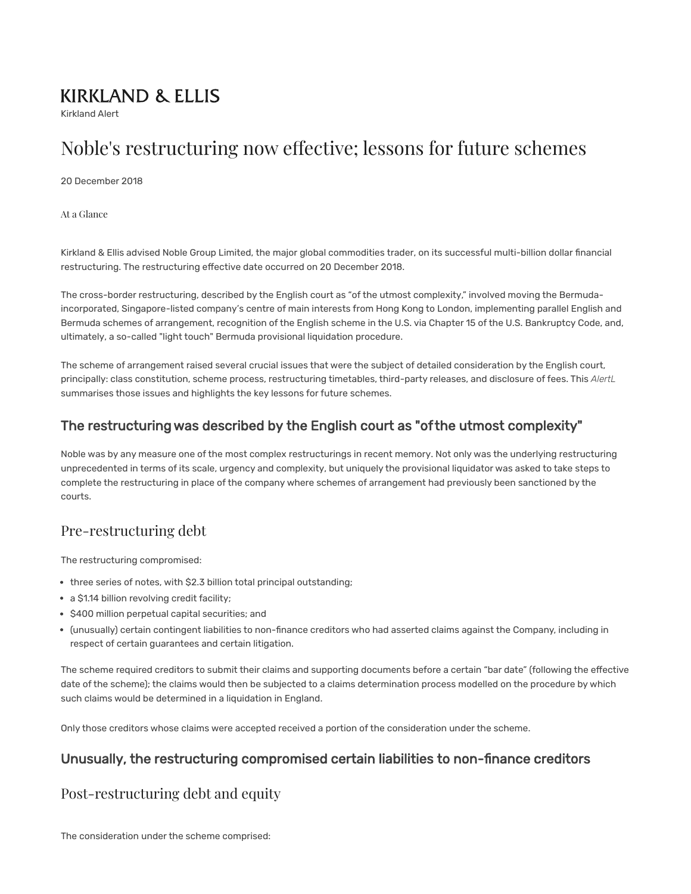# **KIRKLAND & ELLIS**

Kirkland Alert

# Noble's restructuring now effective; lessons for future schemes

20 December 2018

At a Glance

Kirkland & Ellis advised Noble Group Limited, the major global commodities trader, on its successful multi-billion dollar financial restructuring. The restructuring effective date occurred on 20 December 2018.

The cross-border restructuring, described by the English court as "of the utmost complexity," involved moving the Bermudaincorporated, Singapore-listed company's centre of main interests from Hong Kong to London, implementing parallel English and Bermuda schemes of arrangement, recognition of the English scheme in the U.S. via Chapter 15 of the U.S. Bankruptcy Code, and, ultimately, a so-called "light touch" Bermuda provisional liquidation procedure.

The scheme of arrangement raised several crucial issues that were the subject of detailed consideration by the English court, principally: class constitution, scheme process, restructuring timetables, third-party releases, and disclosure of fees. This *AlertL* summarises those issues and highlights the key lessons for future schemes.

## The restructuring was described by the English court as "of the utmost complexity"

Noble was by any measure one of the most complex restructurings in recent memory. Not only was the underlying restructuring unprecedented in terms of its scale, urgency and complexity, but uniquely the provisional liquidator was asked to take steps to complete the restructuring in place of the company where schemes of arrangement had previously been sanctioned by the courts.

# Pre-restructuring debt

The restructuring compromised:

- three series of notes, with \$2.3 billion total principal outstanding;
- a \$1.14 billion revolving credit facility;
- \$400 million perpetual capital securities; and
- (unusually) certain contingent liabilities to non-finance creditors who had asserted claims against the Company, including in respect of certain guarantees and certain litigation.

The scheme required creditors to submit their claims and supporting documents before a certain "bar date" (following the effective date of the scheme); the claims would then be subjected to a claims determination process modelled on the procedure by which such claims would be determined in a liquidation in England.

Only those creditors whose claims were accepted received a portion of the consideration under the scheme.

## Unusually, the restructuring compromised certain liabilities to non-finance creditors

# Post-restructuring debt and equity

The consideration under the scheme comprised: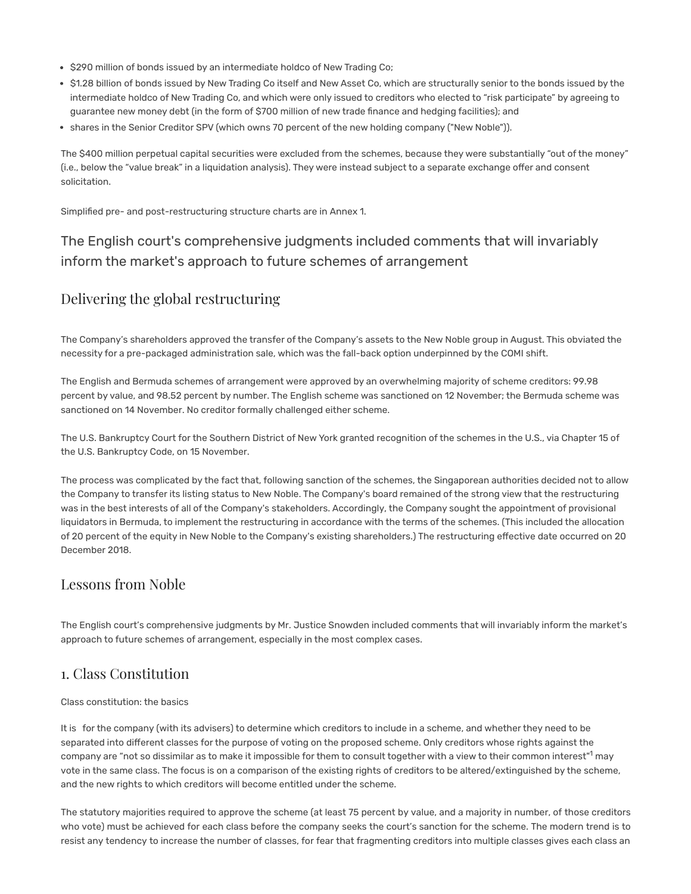- . \$290 million of bonds issued by an intermediate holdco of New Trading Co;
- \$1.28 billion of bonds issued by New Trading Co itself and New Asset Co, which are structurally senior to the bonds issued by the intermediate holdco of New Trading Co, and which were only issued to creditors who elected to "risk participate" by agreeing to guarantee new money debt (in the form of \$700 million of new trade finance and hedging facilities); and
- shares in the Senior Creditor SPV (which owns 70 percent of the new holding company ("New Noble")).

The \$400 million perpetual capital securities were excluded from the schemes, because they were substantially "out of the money" (i.e., below the "value break" in a liquidation analysis). They were instead subject to a separate exchange offer and consent solicitation.

Simplified pre- and post-restructuring structure charts are in Annex 1.

# The English court's comprehensive judgments included comments that will invariably inform the market's approach to future schemes of arrangement

# Delivering the global restructuring

The Company's shareholders approved the transfer of the Company's assets to the New Noble group in August. This obviated the necessity for a pre-packaged administration sale, which was the fall-back option underpinned by the COMI shift.

The English and Bermuda schemes of arrangement were approved by an overwhelming majority of scheme creditors: 99.98 percent by value, and 98.52 percent by number. The English scheme was sanctioned on 12 November; the Bermuda scheme was sanctioned on 14 November. No creditor formally challenged either scheme.

The U.S. Bankruptcy Court for the Southern District of New York granted recognition of the schemes in the U.S., via Chapter 15 of the U.S. Bankruptcy Code, on 15 November.

The process was complicated by the fact that, following sanction of the schemes, the Singaporean authorities decided not to allow the Company to transfer its listing status to New Noble. The Company's board remained of the strong view that the restructuring was in the best interests of all of the Company's stakeholders. Accordingly, the Company sought the appointment of provisional liquidators in Bermuda, to implement the restructuring in accordance with the terms of the schemes. (This included the allocation of 20 percent of the equity in New Noble to the Company's existing shareholders.) The restructuring effective date occurred on 20 December 2018.

## Lessons from Noble

The English court's comprehensive judgments by Mr. Justice Snowden included comments that will invariably inform the market's approach to future schemes of arrangement, especially in the most complex cases.

### 1. Class Constitution

#### Class constitution: the basics

<span id="page-1-0"></span>It is for the company (with its advisers) to determine which creditors to include in a scheme, and whether they need to be separated into different classes for the purpose of voting on the proposed scheme. Only creditors whose rights against the company are "not so dissimilar as to make it impossible for them to consult together with a view to their common interest"<sup>[1](#page-5-0)</sup> may vote in the same class. The focus is on a comparison of the existing rights of creditors to be altered/extinguished by the scheme, and the new rights to which creditors will become entitled under the scheme.

The statutory majorities required to approve the scheme (at least 75 percent by value, and a majority in number, of those creditors who vote) must be achieved for each class before the company seeks the court's sanction for the scheme. The modern trend is to resist any tendency to increase the number of classes, for fear that fragmenting creditors into multiple classes gives each class an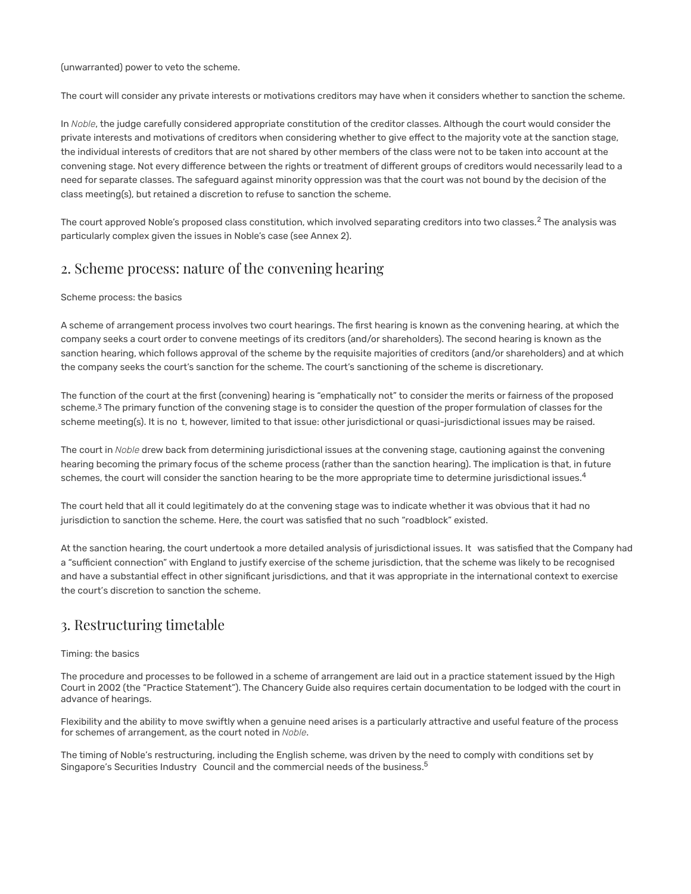(unwarranted) power to veto the scheme.

The court will consider any private interests or motivations creditors may have when it considers whether to sanction the scheme.

In *Noble*, the judge carefully considered appropriate constitution of the creditor classes. Although the court would consider the private interests and motivations of creditors when considering whether to give effect to the majority vote at the sanction stage, the individual interests of creditors that are not shared by other members of the class were not to be taken into account at the convening stage. Not every difference between the rights or treatment of different groups of creditors would necessarily lead to a need for separate classes. The safeguard against minority oppression was that the court was not bound by the decision of the class meeting(s), but retained a discretion to refuse to sanction the scheme.

<span id="page-2-0"></span>The court approved Noble's proposed class constitution, which involved separating creditors into two classes. $^2$  The analysis was particularly complex given the issues in Noble's case (see Annex 2).

## 2. Scheme process: nature of the convening hearing

#### Scheme process: the basics

A scheme of arrangement process involves two court hearings. The first hearing is known as the convening hearing, at which the company seeks a court order to convene meetings of its creditors (and/or shareholders). The second hearing is known as the sanction hearing, which follows approval of the scheme by the requisite majorities of creditors (and/or shareholders) and at which the company seeks the court's sanction for the scheme. The court's sanctioning of the scheme is discretionary.

<span id="page-2-1"></span>The function of the court at the first (convening) hearing is "emphatically not" to consider the merits or fairness of the proposed scheme.<sup>3</sup>The primary function of the convening stage is to consider the question of the proper formulation of classes for the scheme meeting(s). It is no t, however, limited to that issue: other jurisdictional or quasi-jurisdictional issues may be raised.

<span id="page-2-2"></span>The court in *Noble* drew back from determining jurisdictional issues at the convening stage, cautioning against the convening hearing becoming the primary focus of the scheme process (rather than the sanction hearing). The implication is that, in future schemes, the court will consider the sanction hearing to be the more appropriate time to determine jurisdictional issues.<sup>[4](#page-5-3)</sup>

The court held that all it could legitimately do at the convening stage was to indicate whether it was obvious that it had no jurisdiction to sanction the scheme. Here, the court was satisfied that no such "roadblock" existed.

At the sanction hearing, the court undertook a more detailed analysis of jurisdictional issues. It was satisfied that the Company had a "sufficient connection" with England to justify exercise of the scheme jurisdiction, that the scheme was likely to be recognised and have a substantial effect in other significant jurisdictions, and that it was appropriate in the international context to exercise the court's discretion to sanction the scheme.

### 3. Restructuring timetable

#### Timing: the basics

The procedure and processes to be followed in a scheme of arrangement are laid out in a practice statement issued by the High Court in 2002 (the "Practice Statement"). The Chancery Guide also requires certain documentation to be lodged with the court in advance of hearings.

Flexibility and the ability to move swiftly when a genuine need arises is a particularly attractive and useful feature of the process for schemes of arrangement, as the court noted in *Noble*.

The timing of Noble's restructuring, including the English scheme, was driven by the need to comply with conditions set by Singapore's Securities Industry Council and the commercial needs of the business.<sup>[5](https://kirkland.admin.onenorth.com/publications/kirkland-alert/2018/12/EditorPage.aspx?da=core&id=%7BE25E280C-3C97-444A-AC34-D8E19228B4A6%7D&ed=FIELD841867851&vs&la=en&fld=%7B0C683B54-93B0-4ECA-8ED8-7F63D7875625%7D&so&di=0&hdl=H841867916&mo&pe=0&fbd=1#fn5)</sup>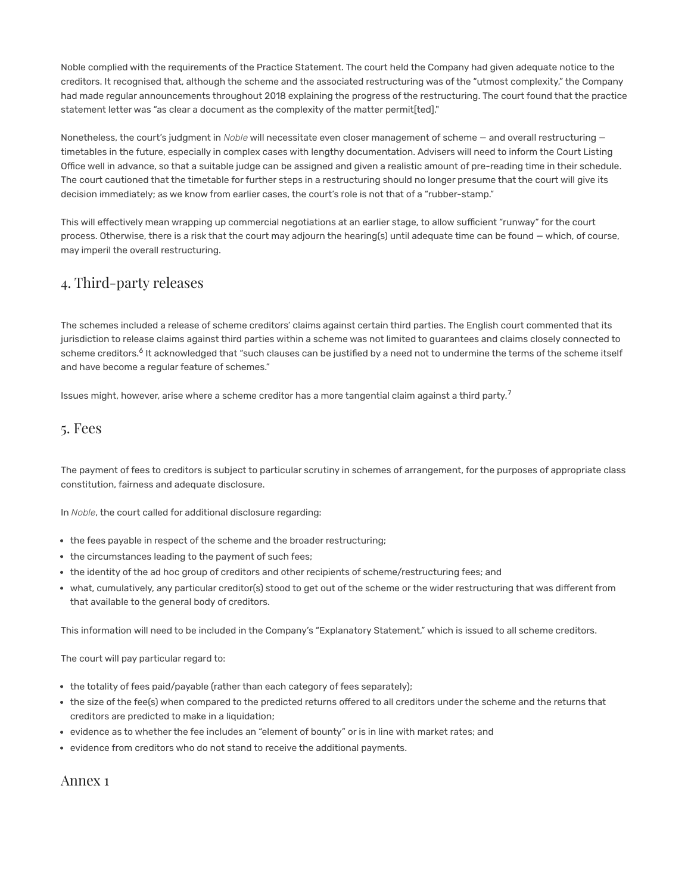Noble complied with the requirements of the Practice Statement. The court held the Company had given adequate notice to the creditors. It recognised that, although the scheme and the associated restructuring was of the "utmost complexity," the Company had made regular announcements throughout 2018 explaining the progress of the restructuring. The court found that the practice statement letter was "as clear a document as the complexity of the matter permit[ted]."

Nonetheless, the court's judgment in *Noble* will necessitate even closer management of scheme — and overall restructuring timetables in the future, especially in complex cases with lengthy documentation. Advisers will need to inform the Court Listing Office well in advance, so that a suitable judge can be assigned and given a realistic amount of pre-reading time in their schedule. The court cautioned that the timetable for further steps in a restructuring should no longer presume that the court will give its decision immediately; as we know from earlier cases, the court's role is not that of a "rubber-stamp."

This will effectively mean wrapping up commercial negotiations at an earlier stage, to allow sufficient "runway" for the court process. Otherwise, there is a risk that the court may adjourn the hearing(s) until adequate time can be found — which, of course, may imperil the overall restructuring.

# 4. Third-party releases

The schemes included a release of scheme creditors' claims against certain third parties. The English court commented that its jurisdiction to release claims against third parties within a scheme was not limited to guarantees and claims closely connected to scheme creditors.<sup>6</sup> It acknowledged that "such clauses can be justified by a need not to undermine the terms of the scheme itself and have become a regular feature of schemes."

Issues might, however, arise where a scheme creditor has a more tangential claim against a third party.<sup>7</sup>

### 5. Fees

The payment of fees to creditors is subject to particular scrutiny in schemes of arrangement, for the purposes of appropriate class constitution, fairness and adequate disclosure.

In *Noble*, the court called for additional disclosure regarding:

- the fees payable in respect of the scheme and the broader restructuring;
- the circumstances leading to the payment of such fees;
- the identity of the ad hoc group of creditors and other recipients of scheme/restructuring fees; and
- what, cumulatively, any particular creditor(s) stood to get out of the scheme or the wider restructuring that was different from that available to the general body of creditors.

This information will need to be included in the Company's "Explanatory Statement," which is issued to all scheme creditors.

The court will pay particular regard to:

- the totality of fees paid/payable (rather than each category of fees separately);
- the size of the fee(s) when compared to the predicted returns offered to all creditors under the scheme and the returns that creditors are predicted to make in a liquidation;
- evidence as to whether the fee includes an "element of bounty" or is in line with market rates; and
- evidence from creditors who do not stand to receive the additional payments.

Annex 1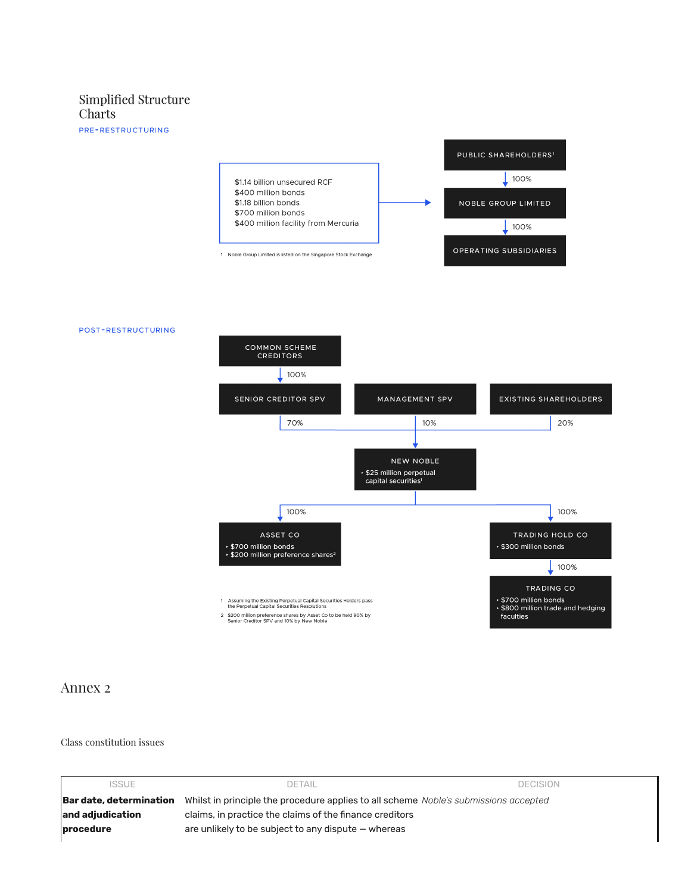#### Simplified Structure Charts

PRE-RESTRUCTURING



#### POST-RESTRUCTURING



#### Annex 2

#### Class constitution issues

| <b>ISSUE</b>            | <b>DETAIL</b>                                                                        | <b>DECISION</b> |  |
|-------------------------|--------------------------------------------------------------------------------------|-----------------|--|
| Bar date, determination | Whilst in principle the procedure applies to all scheme Noble's submissions accepted |                 |  |
| and adiudication        | claims, in practice the claims of the finance creditors                              |                 |  |
| procedure               | are unlikely to be subject to any dispute – whereas                                  |                 |  |
|                         |                                                                                      |                 |  |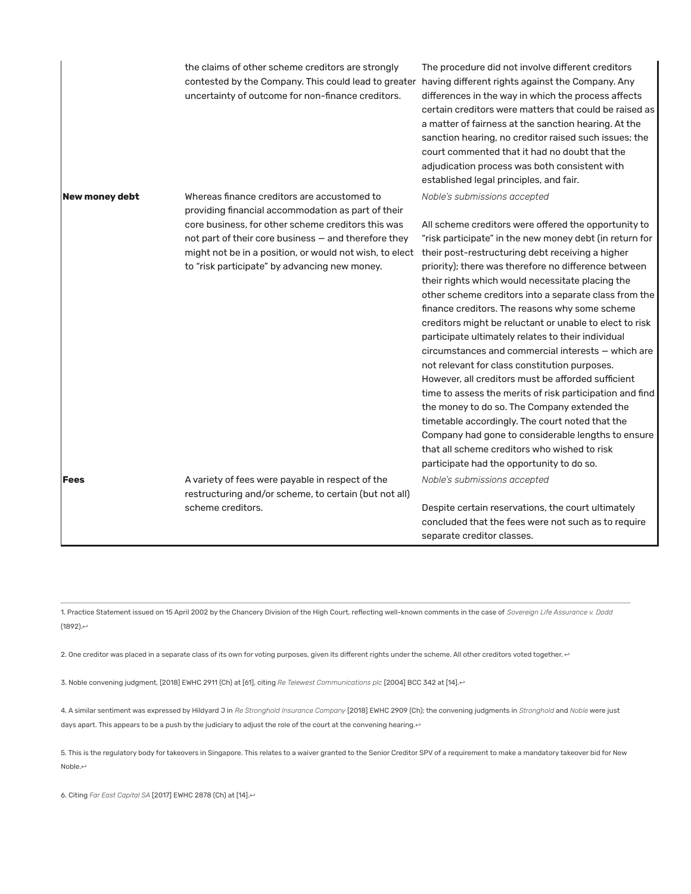|                | the claims of other scheme creditors are strongly<br>contested by the Company. This could lead to greater having different rights against the Company. Any<br>uncertainty of outcome for non-finance creditors.        | The procedure did not involve different creditors<br>differences in the way in which the process affects<br>certain creditors were matters that could be raised as<br>a matter of fairness at the sanction hearing. At the<br>sanction hearing, no creditor raised such issues; the<br>court commented that it had no doubt that the<br>adjudication process was both consistent with<br>established legal principles, and fair.                                                                                                                                                                                                                                                                                                                                                                                                                                                                                                                                                           |
|----------------|------------------------------------------------------------------------------------------------------------------------------------------------------------------------------------------------------------------------|--------------------------------------------------------------------------------------------------------------------------------------------------------------------------------------------------------------------------------------------------------------------------------------------------------------------------------------------------------------------------------------------------------------------------------------------------------------------------------------------------------------------------------------------------------------------------------------------------------------------------------------------------------------------------------------------------------------------------------------------------------------------------------------------------------------------------------------------------------------------------------------------------------------------------------------------------------------------------------------------|
| New money debt | Whereas finance creditors are accustomed to<br>providing financial accommodation as part of their                                                                                                                      | Noble's submissions accepted                                                                                                                                                                                                                                                                                                                                                                                                                                                                                                                                                                                                                                                                                                                                                                                                                                                                                                                                                               |
|                | core business, for other scheme creditors this was<br>not part of their core business - and therefore they<br>might not be in a position, or would not wish, to elect<br>to "risk participate" by advancing new money. | All scheme creditors were offered the opportunity to<br>"risk participate" in the new money debt (in return for<br>their post-restructuring debt receiving a higher<br>priority); there was therefore no difference between<br>their rights which would necessitate placing the<br>other scheme creditors into a separate class from the<br>finance creditors. The reasons why some scheme<br>creditors might be reluctant or unable to elect to risk<br>participate ultimately relates to their individual<br>circumstances and commercial interests - which are<br>not relevant for class constitution purposes.<br>However, all creditors must be afforded sufficient<br>time to assess the merits of risk participation and find<br>the money to do so. The Company extended the<br>timetable accordingly. The court noted that the<br>Company had gone to considerable lengths to ensure<br>that all scheme creditors who wished to risk<br>participate had the opportunity to do so. |
| <b>Fees</b>    | A variety of fees were payable in respect of the                                                                                                                                                                       | Noble's submissions accepted                                                                                                                                                                                                                                                                                                                                                                                                                                                                                                                                                                                                                                                                                                                                                                                                                                                                                                                                                               |
|                | restructuring and/or scheme, to certain (but not all)                                                                                                                                                                  |                                                                                                                                                                                                                                                                                                                                                                                                                                                                                                                                                                                                                                                                                                                                                                                                                                                                                                                                                                                            |
|                | scheme creditors.                                                                                                                                                                                                      | Despite certain reservations, the court ultimately<br>concluded that the fees were not such as to require<br>separate creditor classes.                                                                                                                                                                                                                                                                                                                                                                                                                                                                                                                                                                                                                                                                                                                                                                                                                                                    |

<span id="page-5-0"></span>1. Practice Statement issued on 15 April 2002 by the Chancery Division of the High Court, reflecting well-known comments in the case of *Sovereign Life Assurance v. Dodd* (1892). $\leftrightarrow$ 

<span id="page-5-1"></span>2. One creditor was placed in a separate class of its own for voting purposes, given its different rights under the scheme. All other creditors voted together.  $\leftrightarrow$ 

<span id="page-5-2"></span>3. Noble convening judgment, [2018] EWHC 2911 (Ch) at [61], citing *Re Telewest Communications plc* [2004] BCC 342 at [14].[↩](#page-2-1)

<span id="page-5-3"></span>4. A similar sentiment was expressed by Hildyard J in *Re Stronghold Insurance Company* [2018] EWHC 2909 (Ch); the convening judgments in *Stronghold* and *Noble* were just days apart. This appears to be a push by the judiciary to adjust the role of the court at the convening hearing.[↩](#page-2-2)

5. This is the regulatory body for takeovers in Singapore. This relates to a waiver granted to the Senior Creditor SPV of a requirement to make a mandatory takeover bid for New Noble.[↩](#page-2-2)

<span id="page-5-4"></span>6. Citing *Far East Capital SA* [2017] EWHC 2878 (Ch) at [14].[↩](#page-2-2)